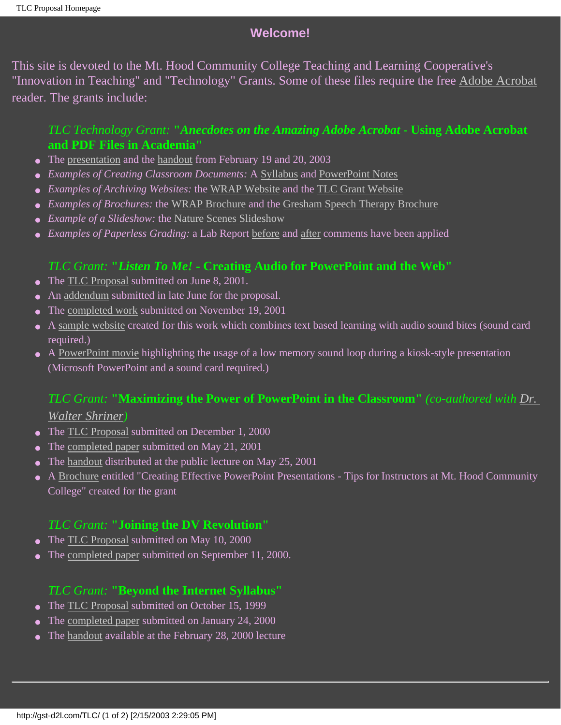# **Welcome!**

This site is devoted to the Mt. Hood Community College Teaching and Learning Cooperative's "Innovation in Teaching" and "Technology" Grants. Some of these files require the free [Adobe Acrobat](http://www.adobe.com/acrobat/download) reader. The grants include:

## *TLC Technology Grant:* **"***Anecdotes on the Amazing Adobe Acrobat* **- Using Adobe Acrobat and PDF Files in Academia"**

- The [presentation](http://classes.mhcc.edu/enh/ch221_mr/pdfTLC/pres.pdf) and the [handout](http://classes.mhcc.edu/enh/ch221_mr/pdfTLC/AcrobatHandout.pdf) from February 19 and 20, 2003
- *Examples of Creating Classroom Documents:* A [Syllabus](http://classes.mhcc.edu/enh/ch221_mr/pdfTLC/222SyllW03.pdf) and [PowerPoint Notes](http://classes.mhcc.edu/enh/ch221_mr/pdfTLC/Ch02PPT.pdf)
- *Examples of Archiving Websites:* the [WRAP Website](http://classes.mhcc.edu/enh/ch221_mr/pdfTLC/WRAP.pdf) and the [TLC Grant Website](http://classes.mhcc.edu/enh/ch221_mr/pdfTLC/TLCG.pdf)
- *Examples of Brochures:* the [WRAP Brochure](http://classes.mhcc.edu/enh/ch221_mr/pdfTLC/WRAPPromo11.pdf) and the [Gresham Speech Therapy Brochure](http://classes.mhcc.edu/enh/ch221_mr/pdfTLC/GSTBrochure2.pdf)
- *Example of a Slideshow:* the [Nature Scenes Slideshow](http://classes.mhcc.edu/enh/ch221_mr/pdfTLC/SlideShow.pdf)
- *Examples of Paperless Grading:* a Lab Report [before](http://classes.mhcc.edu/enh/ch221_mr/pdfTLC/MMLabExample.pdf) and [after](http://classes.mhcc.edu/enh/ch221_mr/pdfTLC/MMLabGradedExample.pdf) comments have been applied

## *TLC Grant:* **"***Listen To Me!* **- Creating Audio for PowerPoint and the Web"**

- The [TLC Proposal](http://gst-d2l.com/TLC/TLCListProp.htm) submitted on June 8, 2001.
- An [addendum](http://gst-d2l.com/TLC/TLC4Addend.htm) submitted in late June for the proposal.
- The [completed work](http://gst-d2l.com/TLC/LTM/ListenToMe.pdf) submitted on November 19, 2001
- A [sample website](http://gst-d2l.com/TLC/LTM/COTW/cotw.htm) created for this work which combines text based learning with audio sound bites (sound card required.)
- A [PowerPoint movie](http://classes.mhcc.cc.or.us/web/ch221_mr/media/PictureCollage.ppt) highlighting the usage of a low memory sound loop during a kiosk-style presentation (Microsoft PowerPoint and a sound card required.)

# *TLC Grant:* **"Maximizing the Power of PowerPoint in the Classroom"** *(co-authored with [Dr.](mailto:shrinerw@mhcc.edu)*

#### *[Walter Shriner\)](mailto:shrinerw@mhcc.edu)*

- The [TLC Proposal](http://gst-d2l.com/TLC/INV.html) submitted on December 1, 2000
- The [completed paper](http://gst-d2l.com/TLC/TLCProj.html) submitted on May 21, 2001
- The [handout](http://gst-d2l.com/TLC/TLCPHo.html) distributed at the public lecture on May 25, 2001
- A [Brochure](http://gst-d2l.com/TLC/LTM/PowerPointBrochure.pdf) entitled "Creating Effective PowerPoint Presentations Tips for Instructors at Mt. Hood Community College" created for the grant

## *TLC Grant:* **"Joining the DV Revolution"**

- The [TLC Proposal](http://gst-d2l.com/TLC/TLCProp2.html) submitted on May 10, 2000
- The [completed paper](http://gst-d2l.com/TLC/TLCDVIntro.html) submitted on September 11, 2000.

## *TLC Grant:* **"Beyond the Internet Syllabus"**

- The [TLC Proposal](http://gst-d2l.com/TLC/TLCprop.html) submitted on October 15, 1999
- The [completed paper](http://gst-d2l.com/TLC/TOC.html) submitted on January 24, 2000
- The [handout](http://gst-d2l.com/TLC/TLCPresPap.html) available at the February 28, 2000 lecture